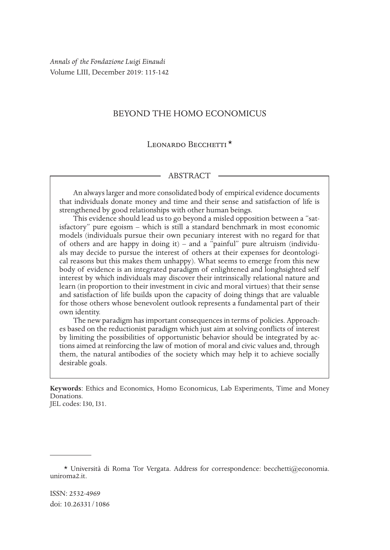*Annals of the Fondazione Luigi Einaudi* Volume LIII, December 2019: 115-142

# BEYOND THE HOMO ECONOMICUS

## LEONARDO BECCHETTI<sup>\*</sup>

#### ABSTRACT

An always larger and more consolidated body of empirical evidence documents that individuals donate money and time and their sense and satisfaction of life is strengthened by good relationships with other human beings.

This evidence should lead us to go beyond a misled opposition between a "satisfactory" pure egoism – which is still a standard benchmark in most economic models (individuals pursue their own pecuniary interest with no regard for that of others and are happy in doing it)  $-$  and a "painful" pure altruism (individuals may decide to pursue the interest of others at their expenses for deontological reasons but this makes them unhappy). What seems to emerge from this new body of evidence is an integrated paradigm of enlightened and longhsighted self interest by which individuals may discover their intrinsically relational nature and learn (in proportion to their investment in civic and moral virtues) that their sense and satisfaction of life builds upon the capacity of doing things that are valuable for those others whose benevolent outlook represents a fundamental part of their own identity.

The new paradigm has important consequences in terms of policies. Approaches based on the reductionist paradigm which just aim at solving conflicts of interest by limiting the possibilities of opportunistic behavior should be integrated by actions aimed at reinforcing the law of motion of moral and civic values and, through them, the natural antibodies of the society which may help it to achieve socially desirable goals.

**Keywords**: Ethics and Economics, Homo Economicus, Lab Experiments, Time and Money Donations. JEL codes: I30, I31.

<sup>\*</sup> Università di Roma Tor Vergata. Address for correspondence: becchetti@economia. uniroma2.it.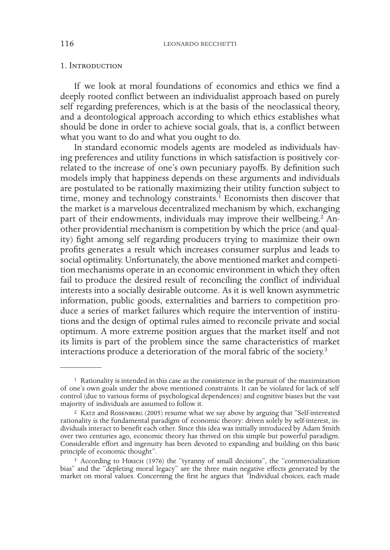#### 1. Introduction

If we look at moral foundations of economics and ethics we find a deeply rooted conflict between an individualist approach based on purely self regarding preferences, which is at the basis of the neoclassical theory, and a deontological approach according to which ethics establishes what should be done in order to achieve social goals, that is, a conflict between what you want to do and what you ought to do.

In standard economic models agents are modeled as individuals having preferences and utility functions in which satisfaction is positively correlated to the increase of one's own pecuniary payoffs. By definition such models imply that happiness depends on these arguments and individuals are postulated to be rationally maximizing their utility function subject to time, money and technology constraints.<sup>1</sup> Economists then discover that the market is a marvelous decentralized mechanism by which, exchanging part of their endowments, individuals may improve their wellbeing.<sup>2</sup> Another providential mechanism is competition by which the price (and quality) fight among self regarding producers trying to maximize their own profits generates a result which increases consumer surplus and leads to social optimality. Unfortunately, the above mentioned market and competition mechanisms operate in an economic environment in which they often fail to produce the desired result of reconciling the conflict of individual interests into a socially desirable outcome. As it is well known asymmetric information, public goods, externalities and barriers to competition produce a series of market failures which require the intervention of institutions and the design of optimal rules aimed to reconcile private and social optimum. A more extreme position argues that the market itself and not its limits is part of the problem since the same characteristics of market interactions produce a deterioration of the moral fabric of the society.3

<sup>1</sup> Rationality is intended in this case as the consistence in the pursuit of the maximization of one's own goals under the above mentioned constraints. It can be violated for lack of self control (due to various forms of psychological dependences) and cognitive biases but the vast majority of individuals are assumed to follow it.

<sup>&</sup>lt;sup>2</sup> KATZ and ROSENBERG (2005) resume what we say above by arguing that "Self-interested rationality is the fundamental paradigm of economic theory: driven solely by self-interest, individuals interact to benefit each other. Since this idea was initially introduced by Adam Smith over two centuries ago, economic theory has thrived on this simple but powerful paradigm. Considerable effort and ingenuity has been devoted to expanding and building on this basic principle of economic thought".

<sup>3</sup> According to Hirsch (1976) the "tyranny of small decisions", the "commercialization bias" and the "depleting moral legacy" are the three main negative effects generated by the market on moral values. Concerning the first he argues that "Individual choices, each made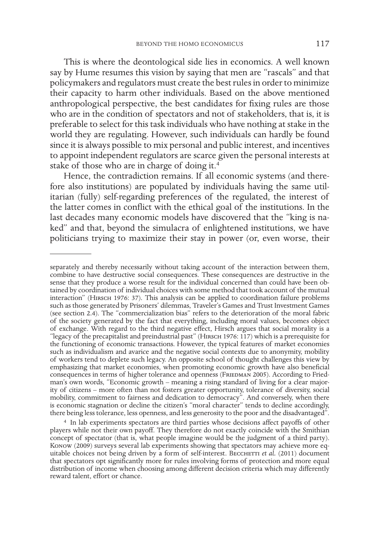This is where the deontological side lies in economics. A well known say by Hume resumes this vision by saying that men are "rascals" and that policymakers and regulators must create the best rules in order to minimize their capacity to harm other individuals. Based on the above mentioned anthropological perspective, the best candidates for fixing rules are those who are in the condition of spectators and not of stakeholders, that is, it is preferable to select for this task individuals who have nothing at stake in the world they are regulating. However, such individuals can hardly be found since it is always possible to mix personal and public interest, and incentives to appoint independent regulators are scarce given the personal interests at stake of those who are in charge of doing it.<sup>4</sup>

Hence, the contradiction remains. If all economic systems (and therefore also institutions) are populated by individuals having the same utilitarian (fully) self-regarding preferences of the regulated, the interest of the latter comes in conflict with the ethical goal of the institutions. In the last decades many economic models have discovered that the "king is naked" and that, beyond the simulacra of enlightened institutions, we have politicians trying to maximize their stay in power (or, even worse, their

separately and thereby necessarily without taking account of the interaction between them, combine to have destructive social consequences. These consequences are destructive in the sense that they produce a worse result for the individual concerned than could have been obtained by coordination of individual choices with some method that took account of the mutual interaction" (HIRSCH 1976: 37). This analysis can be applied to coordination failure problems such as those generated by Prisoners' dilemmas, Traveler's Games and Trust Investment Games (see section 2.4). The "commercialization bias" refers to the deterioration of the moral fabric of the society generated by the fact that everything, including moral values, becomes object of exchange. With regard to the third negative effect, Hirsch argues that social morality is a "legacy of the precapitalist and preindustrial past" (Hirsch 1976: 117) which is a prerequisite for the functioning of economic transactions. However, the typical features of market economies such as individualism and avarice and the negative social contexts due to anonymity, mobility of workers tend to deplete such legacy. An opposite school of thought challenges this view by emphasizing that market economies, when promoting economic growth have also beneficial consequences in terms of higher tolerance and openness (FRIEDMAN 2005). According to Friedman's own words, "Economic growth – meaning a rising standard of living for a clear majority of citizens – more often than not fosters greater opportunity, tolerance of diversity, social mobility, commitment to fairness and dedication to democracy". And conversely, when there is economic stagnation or decline the citizen's "moral character" tends to decline accordingly, there being less tolerance, less openness, and less generosity to the poor and the disadvantaged".

<sup>4</sup> In lab experiments spectators are third parties whose decisions affect payoffs of other players while not their own payoff. They therefore do not exactly coincide with the Smithian concept of spectator (that is, what people imagine would be the judgment of a third party). Konow (2009) surveys several lab experiments showing that spectators may achieve more equitable choices not being driven by a form of self-interest. BECCHETTI *et al.* (2011) document that spectators opt significantly more for rules involving forms of protection and more equal distribution of income when choosing among different decision criteria which may differently reward talent, effort or chance.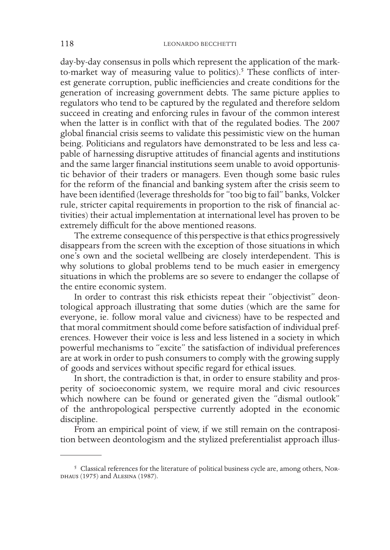day-by-day consensus in polls which represent the application of the markto-market way of measuring value to politics).<sup>5</sup> These conflicts of interest generate corruption, public inefficiencies and create conditions for the generation of increasing government debts. The same picture applies to regulators who tend to be captured by the regulated and therefore seldom succeed in creating and enforcing rules in favour of the common interest when the latter is in conflict with that of the regulated bodies. The 2007 global financial crisis seems to validate this pessimistic view on the human being. Politicians and regulators have demonstrated to be less and less capable of harnessing disruptive attitudes of financial agents and institutions and the same larger financial institutions seem unable to avoid opportunistic behavior of their traders or managers. Even though some basic rules for the reform of the financial and banking system after the crisis seem to have been identified (leverage thresholds for "too big to fail" banks, Volcker rule, stricter capital requirements in proportion to the risk of financial activities) their actual implementation at international level has proven to be extremely difficult for the above mentioned reasons.

The extreme consequence of this perspective is that ethics progressively disappears from the screen with the exception of those situations in which one's own and the societal wellbeing are closely interdependent. This is why solutions to global problems tend to be much easier in emergency situations in which the problems are so severe to endanger the collapse of the entire economic system.

In order to contrast this risk ethicists repeat their "objectivist" deontological approach illustrating that some duties (which are the same for everyone, ie. follow moral value and civicness) have to be respected and that moral commitment should come before satisfaction of individual preferences. However their voice is less and less listened in a society in which powerful mechanisms to "excite" the satisfaction of individual preferences are at work in order to push consumers to comply with the growing supply of goods and services without specific regard for ethical issues.

In short, the contradiction is that, in order to ensure stability and prosperity of socioeconomic system, we require moral and civic resources which nowhere can be found or generated given the "dismal outlook" of the anthropological perspective currently adopted in the economic discipline.

From an empirical point of view, if we still remain on the contraposition between deontologism and the stylized preferentialist approach illus-

<sup>5</sup> Classical references for the literature of political business cycle are, among others, Nordhaus (1975) and Alesina (1987).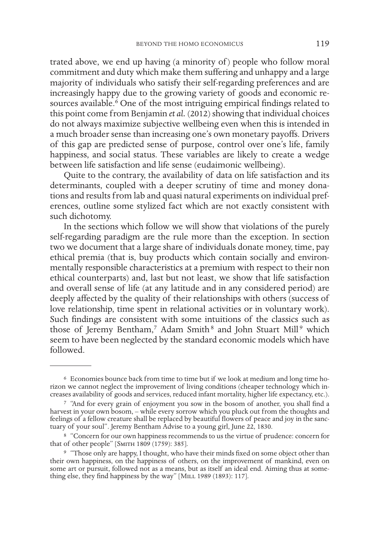trated above, we end up having (a minority of ) people who follow moral commitment and duty which make them suffering and unhappy and a large majority of individuals who satisfy their self-regarding preferences and are increasingly happy due to the growing variety of goods and economic resources available.<sup>6</sup> One of the most intriguing empirical findings related to this point come from Benjamin *et al.* (2012) showing that individual choices do not always maximize subjective wellbeing even when this is intended in a much broader sense than increasing one's own monetary payoffs. Drivers of this gap are predicted sense of purpose, control over one's life, family happiness, and social status. These variables are likely to create a wedge between life satisfaction and life sense (eudaimonic wellbeing).

Quite to the contrary, the availability of data on life satisfaction and its determinants, coupled with a deeper scrutiny of time and money donations and results from lab and quasi natural experiments on individual preferences, outline some stylized fact which are not exactly consistent with such dichotomy.

In the sections which follow we will show that violations of the purely self-regarding paradigm are the rule more than the exception. In section two we document that a large share of individuals donate money, time, pay ethical premia (that is, buy products which contain socially and environmentally responsible characteristics at a premium with respect to their non ethical counterparts) and, last but not least, we show that life satisfaction and overall sense of life (at any latitude and in any considered period) are deeply affected by the quality of their relationships with others (success of love relationship, time spent in relational activities or in voluntary work). Such findings are consistent with some intuitions of the classics such as those of Jeremy Bentham,<sup>7</sup> Adam Smith<sup>8</sup> and John Stuart Mill<sup>9</sup> which seem to have been neglected by the standard economic models which have followed.

 $^6$  Economies bounce back from time to time but if we look at medium and long time horizon we cannot neglect the improvement of living conditions (cheaper technology which increases availability of goods and services, re

<sup>7</sup> "And for every grain of enjoyment you sow in the bosom of another, you shall find a harvest in your own bosom, – while every sorrow which you pluck out from the thoughts and feelings of a fellow creature shall be replaced by beautiful flowers of peace and joy in the sanctuary of your soul". Jeremy Bentham Advise to a young girl, June 22, 1830.

<sup>8</sup> "Concern for our own happiness recommends to us the virtue of prudence: concern for that of other people" [Smith 1809 (1759): 385].

<sup>9</sup> "Those only are happy, I thought, who have their minds fixed on some object other than their own happiness, on the happiness of others, on the improvement of mankind, even on some art or pursuit, followed not as a means, but as itself an ideal end. Aiming thus at something else, they find happiness by the way" [MILL 1989 (1893): 117].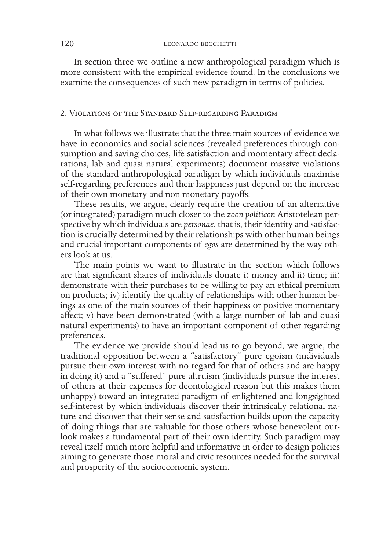In section three we outline a new anthropological paradigm which is more consistent with the empirical evidence found. In the conclusions we examine the consequences of such new paradigm in terms of policies.

## 2. Violations of the Standard Self-regarding Paradigm

In what follows we illustrate that the three main sources of evidence we have in economics and social sciences (revealed preferences through consumption and saving choices, life satisfaction and momentary affect declarations, lab and quasi natural experiments) document massive violations of the standard anthropological paradigm by which individuals maximise self-regarding preferences and their happiness just depend on the increase of their own monetary and non monetary payoffs.

These results, we argue, clearly require the creation of an alternative (or integrated) paradigm much closer to the *zoon politicon* Aristotelean perspective by which individuals are *personae*, that is, their identity and satisfaction is crucially determined by their relationships with other human beings and crucial important components of *egos* are determined by the way others look at us.

The main points we want to illustrate in the section which follows are that significant shares of individuals donate i) money and ii) time; iii) demonstrate with their purchases to be willing to pay an ethical premium on products; iv) identify the quality of relationships with other human beings as one of the main sources of their happiness or positive momentary affect; v) have been demonstrated (with a large number of lab and quasi natural experiments) to have an important component of other regarding preferences.

The evidence we provide should lead us to go beyond, we argue, the traditional opposition between a "satisfactory" pure egoism (individuals pursue their own interest with no regard for that of others and are happy in doing it) and a "suffered" pure altruism (individuals pursue the interest of others at their expenses for deontological reason but this makes them unhappy) toward an integrated paradigm of enlightened and longsighted self-interest by which individuals discover their intrinsically relational nature and discover that their sense and satisfaction builds upon the capacity of doing things that are valuable for those others whose benevolent outlook makes a fundamental part of their own identity. Such paradigm may reveal itself much more helpful and informative in order to design policies aiming to generate those moral and civic resources needed for the survival and prosperity of the socioeconomic system.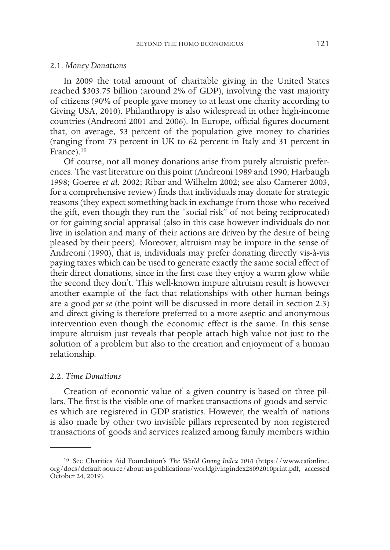### 2.1. *Money Donations*

In 2009 the total amount of charitable giving in the United States reached \$303.75 billion (around 2% of GDP), involving the vast majority of citizens (90% of people gave money to at least one charity according to Giving USA, 2010). Philanthropy is also widespread in other high-income countries (Andreoni 2001 and 2006). In Europe, official figures document that, on average, 53 percent of the population give money to charities (ranging from 73 percent in UK to 62 percent in Italy and 31 percent in France).<sup>10</sup>

Of course, not all money donations arise from purely altruistic preferences. The vast literature on this point (Andreoni 1989 and 1990; Harbaugh 1998; Goeree *et al.* 2002; Ribar and Wilhelm 2002; see also Camerer 2003, for a comprehensive review) finds that individuals may donate for strategic reasons (they expect something back in exchange from those who received the gift, even though they run the "social risk" of not being reciprocated) or for gaining social appraisal (also in this case however individuals do not live in isolation and many of their actions are driven by the desire of being pleased by their peers). Moreover, altruism may be impure in the sense of Andreoni (1990), that is, individuals may prefer donating directly vis-à-vis paying taxes which can be used to generate exactly the same social effect of their direct donations, since in the first case they enjoy a warm glow while the second they don't. This well-known impure altruism result is however another example of the fact that relationships with other human beings are a good *per se* (the point will be discussed in more detail in section 2.3) and direct giving is therefore preferred to a more aseptic and anonymous intervention even though the economic effect is the same. In this sense impure altruism just reveals that people attach high value not just to the solution of a problem but also to the creation and enjoyment of a human relationship.

# 2.2. *Time Donations*

Creation of economic value of a given country is based on three pillars. The first is the visible one of market transactions of goods and services which are registered in GDP statistics. However, the wealth of nations is also made by other two invisible pillars represented by non registered transactions of goods and services realized among family members within

<sup>10</sup> See Charities Aid Foundation's *The World Giving Index 2010* (https://www.cafonline. org/docs/default-source/about-us-publications/worldgivingindex28092010print.pdf, accessed October 24, 2019).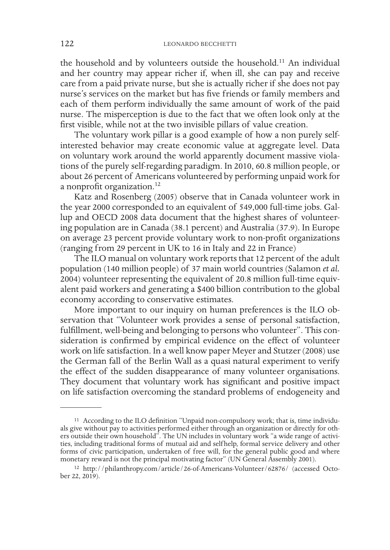the household and by volunteers outside the household.11 An individual and her country may appear richer if, when ill, she can pay and receive care from a paid private nurse, but she is actually richer if she does not pay nurse's services on the market but has five friends or family members and each of them perform individually the same amount of work of the paid nurse. The misperception is due to the fact that we often look only at the first visible, while not at the two invisible pillars of value creation.

The voluntary work pillar is a good example of how a non purely selfinterested behavior may create economic value at aggregate level. Data on voluntary work around the world apparently document massive violations of the purely self-regarding paradigm. In 2010, 60.8 million people, or about 26 percent of Americans volunteered by performing unpaid work for a nonprofit organization.12

Katz and Rosenberg (2005) observe that in Canada volunteer work in the year 2000 corresponded to an equivalent of 549,000 full-time jobs. Gallup and OECD 2008 data document that the highest shares of volunteering population are in Canada (38.1 percent) and Australia (37.9). In Europe on average 23 percent provide voluntary work to non-profit organizations (ranging from 29 percent in UK to 16 in Italy and 22 in France)

The ILO manual on voluntary work reports that 12 percent of the adult population (140 million people) of 37 main world countries (Salamon *et al.* 2004) volunteer representing the equivalent of 20.8 million full-time equivalent paid workers and generating a \$400 billion contribution to the global economy according to conservative estimates.

More important to our inquiry on human preferences is the ILO observation that "Volunteer work provides a sense of personal satisfaction, fulfillment, well-being and belonging to persons who volunteer". This consideration is confirmed by empirical evidence on the effect of volunteer work on life satisfaction. In a well know paper Meyer and Stutzer (2008) use the German fall of the Berlin Wall as a quasi natural experiment to verify the effect of the sudden disappearance of many volunteer organisations. They document that voluntary work has significant and positive impact on life satisfaction overcoming the standard problems of endogeneity and

<sup>&</sup>lt;sup>11</sup> According to the ILO definition "Unpaid non-compulsory work; that is, time individuals give without pay to activities performed either through an organization or directly for others outside their own household". The UN includes in voluntary work "a wide range of activities, including traditional forms of mutual aid and self help, formal service delivery and other forms of civic participation, undertaken of free will, for the general public good and where monetary reward is not the principal motivating factor" (UN General Assembly 2001).

<sup>12</sup> http://philanthropy.com/article/26-of-Americans-Volunteer/62876/ (accessed October 22, 2019).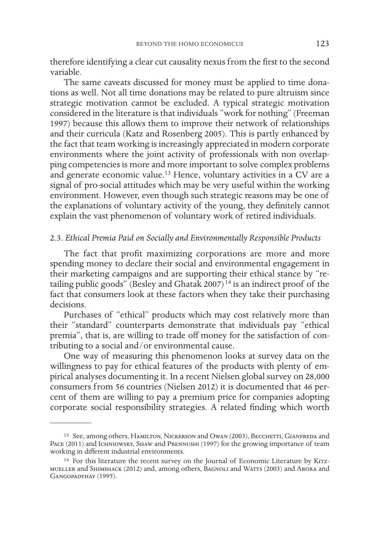therefore identifying a clear cut causality nexus from the first to the second variable.

The same caveats discussed for money must be applied to time donations as well. Not all time donations may be related to pure altruism since strategic motivation cannot be excluded. A typical strategic motivation considered in the literature is that individuals "work for nothing" (Freeman 1997) because this allows them to improve their network of relationships and their curricula (Katz and Rosenberg 2005). This is partly enhanced by the fact that team working is increasingly appreciated in modern corporate environments where the joint activity of professionals with non overlapping competencies is more and more important to solve complex problems and generate economic value.13 Hence, voluntary activities in a CV are a signal of pro-social attitudes which may be very useful within the working environment. However, even though such strategic reasons may be one of the explanations of voluntary activity of the young, they definitely cannot explain the vast phenomenon of voluntary work of retired individuals.

### 2.3. *Ethical Premia Paid on Socially and Environmentally Responsible Products*

The fact that profit maximizing corporations are more and more spending money to declare their social and environmental engagement in their marketing campaigns and are supporting their ethical stance by "retailing public goods" (Besley and Ghatak 2007) 14 is an indirect proof of the fact that consumers look at these factors when they take their purchasing decisions.

Purchases of "ethical" products which may cost relatively more than their "standard" counterparts demonstrate that individuals pay "ethical premia", that is, are willing to trade off money for the satisfaction of contributing to a social and/or environmental cause.

One way of measuring this phenomenon looks at survey data on the willingness to pay for ethical features of the products with plenty of empirical analyses documenting it. In a recent Nielsen global survey on 28,000 consumers from 56 countries (Nielsen 2012) it is documented that 46 percent of them are willing to pay a premium price for companies adopting corporate social responsibility strategies. A related finding which worth

<sup>&</sup>lt;sup>13</sup> See, among others, HAMILTON, NICKERSON and OWAN (2003), BECCHETTI, GIANFREDA and PACE (2011) and ICHNIOWSKY, SHAW and PRENNUSHI (1997) for the growing importance of team working in different industrial environments.

<sup>&</sup>lt;sup>14</sup> For this literature the recent survey on the Journal of Economic Literature by KITZmueller and Shimshack (2012) and, among others, Bagnoli and Watts (2003) and Arora and Gangopadyhay (1995).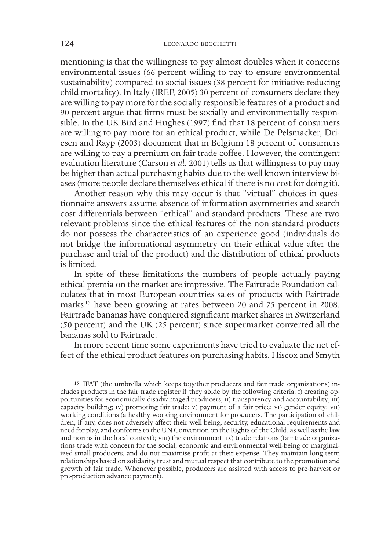mentioning is that the willingness to pay almost doubles when it concerns environmental issues (66 percent willing to pay to ensure environmental sustainability) compared to social issues (38 percent for initiative reducing child mortality). In Italy (IREF, 2005) 30 percent of consumers declare they are willing to pay more for the socially responsible features of a product and 90 percent argue that firms must be socially and environmentally responsible. In the UK Bird and Hughes (1997) find that 18 percent of consumers are willing to pay more for an ethical product, while De Pelsmacker, Driesen and Rayp (2003) document that in Belgium 18 percent of consumers are willing to pay a premium on fair trade coffee. However, the contingent evaluation literature (Carson *et al.* 2001) tells us that willingness to pay may be higher than actual purchasing habits due to the well known interview biases (more people declare themselves ethical if there is no cost for doing it).

Another reason why this may occur is that "virtual" choices in questionnaire answers assume absence of information asymmetries and search cost differentials between "ethical" and standard products. These are two relevant problems since the ethical features of the non standard products do not possess the characteristics of an experience good (individuals do not bridge the informational asymmetry on their ethical value after the purchase and trial of the product) and the distribution of ethical products is limited.

In spite of these limitations the numbers of people actually paying ethical premia on the market are impressive. The Fairtrade Foundation calculates that in most European countries sales of products with Fairtrade marks<sup>15</sup> have been growing at rates between 20 and 75 percent in 2008. Fairtrade bananas have conquered significant market shares in Switzerland (50 percent) and the UK (25 percent) since supermarket converted all the bananas sold to Fairtrade.

In more recent time some experiments have tried to evaluate the net effect of the ethical product features on purchasing habits. Hiscox and Smyth

<sup>15</sup> IFAT (the umbrella which keeps together producers and fair trade organizations) includes products in the fair trade register if they abide by the following criteria: i) creating opportunities for economically disadvantaged producers; ii) transparency and accountability; iii) capacity building; iv) promoting fair trade; v) payment of a fair price; vi) gender equity; vii) working conditions (a healthy working environment for producers. The participation of children, if any, does not adversely affect their well-being, security, educational requirements and need for play, and conforms to the UN Convention on the Rights of the Child, as well as the law<br>and norms in the local context); viii) the environment; ix) trade relations (fair trade organizations trade with concern for the social, economic and environmental well-being of marginalized small producers, and do not maximise profit at their expense. They maintain long-term relationships based on solidarity, trust and mutual respect that contribute to the promotion and growth of fair trade. Whenever possible, producers are assisted with access to pre-harvest or pre-production advance payment).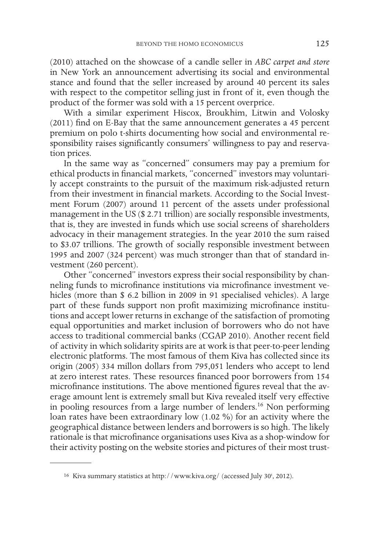(2010) attached on the showcase of a candle seller in *ABC carpet and store* in New York an announcement advertising its social and environmental stance and found that the seller increased by around 40 percent its sales with respect to the competitor selling just in front of it, even though the product of the former was sold with a 15 percent overprice.

With a similar experiment Hiscox, Broukhim, Litwin and Volosky (2011) find on E-Bay that the same announcement generates a 45 percent premium on polo t-shirts documenting how social and environmental responsibility raises significantly consumers' willingness to pay and reservation prices.

In the same way as "concerned" consumers may pay a premium for ethical products in financial markets, "concerned" investors may voluntarily accept constraints to the pursuit of the maximum risk-adjusted return from their investment in financial markets. According to the Social Investment Forum (2007) around 11 percent of the assets under professional management in the US (\$ 2.71 trillion) are socially responsible investments, that is, they are invested in funds which use social screens of shareholders advocacy in their management strategies. In the year 2010 the sum raised to \$3.07 trillions. The growth of socially responsible investment between 1995 and 2007 (324 percent) was much stronger than that of standard investment (260 percent).

Other "concerned" investors express their social responsibility by channeling funds to microfinance institutions via microfinance investment vehicles (more than \$ 6.2 billion in 2009 in 91 specialised vehicles). A large part of these funds support non profit maximizing microfinance institutions and accept lower returns in exchange of the satisfaction of promoting equal opportunities and market inclusion of borrowers who do not have access to traditional commercial banks (CGAP 2010). Another recent field of activity in which solidarity spirits are at work is that peer-to-peer lending electronic platforms. The most famous of them Kiva has collected since its origin (2005) 334 millon dollars from 795,051 lenders who accept to lend at zero interest rates. These resources financed poor borrowers from 154 microfinance institutions. The above mentioned figures reveal that the average amount lent is extremely small but Kiva revealed itself very effective in pooling resources from a large number of lenders.16 Non performing loan rates have been extraordinary low (1.02 %) for an activity where the geographical distance between lenders and borrowers is so high. The likely rationale is that microfinance organisations uses Kiva as a shop-window for their activity posting on the website stories and pictures of their most trust-

<sup>&</sup>lt;sup>16</sup> Kiva summary statistics at http://www.kiva.org/ (accessed July 30<sup>t</sup>, 2012).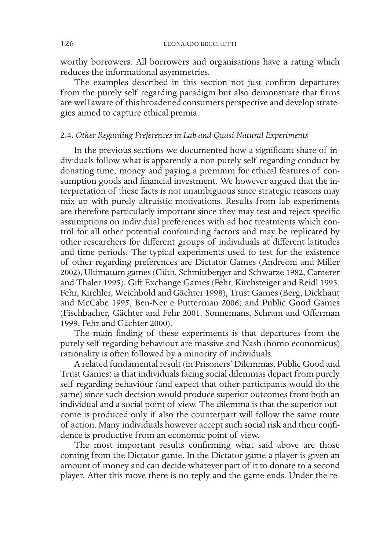worthy borrowers. All borrowers and organisations have a rating which reduces the informational asymmetries.

The examples described in this section not just confirm departures from the purely self regarding paradigm but also demonstrate that firms are well aware of this broadened consumers perspective and develop strategies aimed to capture ethical premia.

# 2.4. *Other Regarding Preferences in Lab and Quasi Natural Experiments*

In the previous sections we documented how a significant share of individuals follow what is apparently a non purely self regarding conduct by donating time, money and paying a premium for ethical features of consumption goods and financial investment. We however argued that the interpretation of these facts is not unambiguous since strategic reasons may mix up with purely altruistic motivations. Results from lab experiments are therefore particularly important since they may test and reject specific assumptions on individual preferences with ad hoc treatments which control for all other potential confounding factors and may be replicated by other researchers for different groups of individuals at different latitudes and time periods. The typical experiments used to test for the existence of other regarding preferences are Dictator Games (Andreoni and Miller 2002), Ultimatum games (Güth, Schmittberger and Schwarze 1982, Camerer and Thaler 1995), Gift Exchange Games (Fehr, Kirchsteiger and Reidl 1993, Fehr, Kirchler, Weichbold and Gächter 1998), Trust Games (Berg, Dickhaut and McCabe 1995, Ben-Ner e Putterman 2006) and Public Good Games (Fischbacher, Gächter and Fehr 2001, Sonnemans, Schram and Offerman 1999, Fehr and Gächter 2000).

The main finding of these experiments is that departures from the purely self regarding behaviour are massive and Nash (homo economicus) rationality is often followed by a minority of individuals.

A related fundamental result (in Prisoners' Dilemmas, Public Good and Trust Games) is that individuals facing social dilemmas depart from purely self regarding behaviour (and expect that other participants would do the same) since such decision would produce superior outcomes from both an individual and a social point of view. The dilemma is that the superior outcome is produced only if also the counterpart will follow the same route of action. Many individuals however accept such social risk and their confidence is productive from an economic point of view.

The most important results confirming what said above are those coming from the Dictator game. In the Dictator game a player is given an amount of money and can decide whatever part of it to donate to a second player. After this move there is no reply and the game ends. Under the re-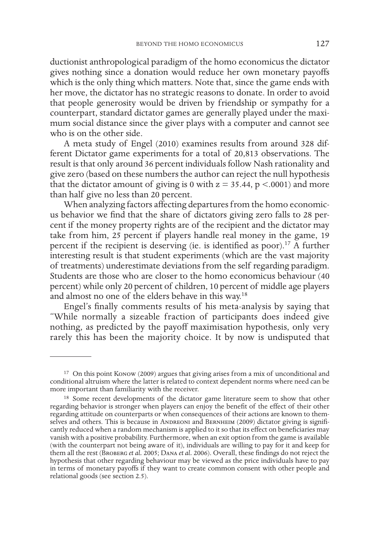ductionist anthropological paradigm of the homo economicus the dictator gives nothing since a donation would reduce her own monetary payoffs which is the only thing which matters. Note that, since the game ends with her move, the dictator has no strategic reasons to donate. In order to avoid that people generosity would be driven by friendship or sympathy for a counterpart, standard dictator games are generally played under the maximum social distance since the giver plays with a computer and cannot see who is on the other side.

A meta study of Engel (2010) examines results from around 328 different Dictator game experiments for a total of 20,813 observations. The result is that only around 36 percent individuals follow Nash rationality and give zero (based on these numbers the author can reject the null hypothesis that the dictator amount of giving is 0 with  $z = 35.44$ ,  $p < .0001$ ) and more than half give no less than 20 percent.

When analyzing factors affecting departures from the homo economicus behavior we find that the share of dictators giving zero falls to 28 percent if the money property rights are of the recipient and the dictator may take from him, 25 percent if players handle real money in the game, 19 percent if the recipient is deserving (ie. is identified as poor).17 A further interesting result is that student experiments (which are the vast majority of treatments) underestimate deviations from the self regarding paradigm. Students are those who are closer to the homo economicus behaviour (40 percent) while only 20 percent of children, 10 percent of middle age players and almost no one of the elders behave in this way.18

Engel's finally comments results of his meta-analysis by saying that "While normally a sizeable fraction of participants does indeed give nothing, as predicted by the payoff maximisation hypothesis, only very rarely this has been the majority choice. It by now is undisputed that

<sup>17</sup> On this point Konow (2009) argues that giving arises from a mix of unconditional and conditional altruism where the latter is related to context dependent norms where need can be more important than familiarity with the receiver.

<sup>&</sup>lt;sup>18</sup> Some recent developments of the dictator game literature seem to show that other regarding behavior is stronger when players can enjoy the benefit of the effect of their other regarding attitude on counterparts or when consequences of their actions are known to themselves and others. This is because in ANDREONI and BERNHEIM (2009) dictator giving is significantly reduced when a random mechanism is applied to it so that its effect on beneficiaries may vanish with a positive probability. Furthermore, when an exit option from the game is available (with the counterpart not being aware of it), individuals are willing to pay for it and keep for them all the rest (Broberg *et al.* 2005; Dana *et al.* 2006). Overall, these findings do not reject the hypothesis that other regarding behaviour may be viewed as the price individuals have to pay in terms of monetary payoffs if they want to create common consent with other people and relational goods (see section 2.5).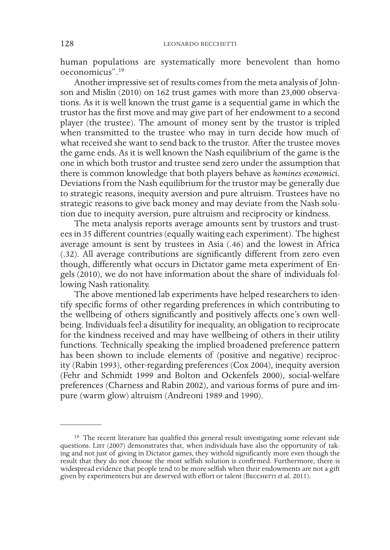human populations are systematically more benevolent than homo oeconomicus".19

Another impressive set of results comes from the meta analysis of Johnson and Mislin (2010) on 162 trust games with more than 23,000 observations. As it is well known the trust game is a sequential game in which the trustor has the first move and may give part of her endowment to a second player (the trustee). The amount of money sent by the trustor is tripled when transmitted to the trustee who may in turn decide how much of what received she want to send back to the trustor. After the trustee moves the game ends. As it is well known the Nash equilibrium of the game is the one in which both trustor and trustee send zero under the assumption that there is common knowledge that both players behave as *homines economici*. Deviations from the Nash equilibrium for the trustor may be generally due to strategic reasons, inequity aversion and pure altruism. Trustees have no strategic reasons to give back money and may deviate from the Nash solution due to inequity aversion, pure altruism and reciprocity or kindness.

The meta analysis reports average amounts sent by trustors and trustees in 35 different countries (equally waiting each experiment). The highest average amount is sent by trustees in Asia (.46) and the lowest in Africa (.32). All average contributions are significantly different from zero even though, differently what occurs in Dictator game meta experiment of Engels (2010), we do not have information about the share of individuals following Nash rationality.

The above mentioned lab experiments have helped researchers to identify specific forms of other regarding preferences in which contributing to the wellbeing of others significantly and positively affects one's own wellbeing. Individuals feel a disutility for inequality, an obligation to reciprocate for the kindness received and may have wellbeing of others in their utility functions. Technically speaking the implied broadened preference pattern has been shown to include elements of (positive and negative) reciprocity (Rabin 1993), other-regarding preferences (Cox 2004), inequity aversion (Fehr and Schmidt 1999 and Bolton and Ockenfels 2000), social-welfare preferences (Charness and Rabin 2002), and various forms of pure and impure (warm glow) altruism (Andreoni 1989 and 1990).

<sup>19</sup> The recent literature has qualified this general result investigating some relevant side questions. LIST (2007) demonstrates that, when individuals have also the opportunity of taking and not just of giving in Dictator games, they withold significantly more even though the result that they do not choose the most selfish solution is confirmed. Furthermore, there is widespread evidence that people tend to be more selfish when their endowments are not a gift given by experimenters but are deserved with effort or talent (BECCHETTI *et al.* 2011).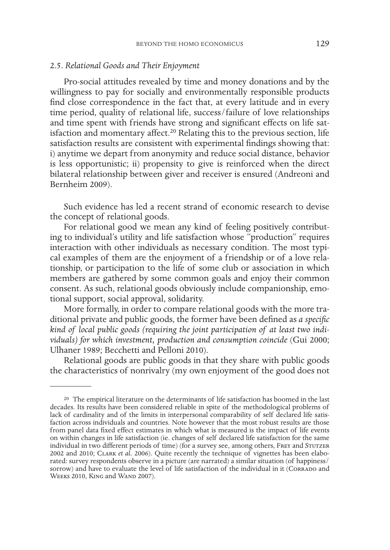### 2.5. *Relational Goods and Their Enjoyment*

Pro-social attitudes revealed by time and money donations and by the willingness to pay for socially and environmentally responsible products find close correspondence in the fact that, at every latitude and in every time period, quality of relational life, success/failure of love relationships and time spent with friends have strong and significant effects on life satisfaction and momentary affect.<sup>20</sup> Relating this to the previous section, life satisfaction results are consistent with experimental findings showing that: i) anytime we depart from anonymity and reduce social distance, behavior is less opportunistic; ii) propensity to give is reinforced when the direct bilateral relationship between giver and receiver is ensured (Andreoni and Bernheim 2009).

Such evidence has led a recent strand of economic research to devise the concept of relational goods.

For relational good we mean any kind of feeling positively contributing to individual's utility and life satisfaction whose "production" requires interaction with other individuals as necessary condition. The most typical examples of them are the enjoyment of a friendship or of a love relationship, or participation to the life of some club or association in which members are gathered by some common goals and enjoy their common consent. As such, relational goods obviously include companionship, emotional support, social approval, solidarity.

More formally, in order to compare relational goods with the more traditional private and public goods, the former have been defined as *a specific kind of local public goods (requiring the joint participation of at least two individuals) for which investment, production and consumption coincide* (Gui 2000; Ulhaner 1989; Becchetti and Pelloni 2010).

Relational goods are public goods in that they share with public goods the characteristics of nonrivalry (my own enjoyment of the good does not

<sup>20</sup> The empirical literature on the determinants of life satisfaction has boomed in the last decades. Its results have been considered reliable in spite of the methodological problems of lack of cardinality and of the limits in interpersonal comparability of self declared life satisfaction across individuals and countries. Note however that the most robust results are those from panel data fixed effect estimates in which what is measured is the impact of life events on within changes in life satisfaction (ie. changes of self declared life satisfaction for the same individual in two different periods of time) (for a survey see, among others, FREY and STUTZER 2002 and 2010; Clark *et al.* 2006). Quite recently the technique of vignettes has been elaborated: survey respondents observe in a picture (are narrated) a similar situation (of happiness/ sorrow) and have to evaluate the level of life satisfaction of the individual in it (CORRADO and WEEKS 2010, KING and WAND 2007).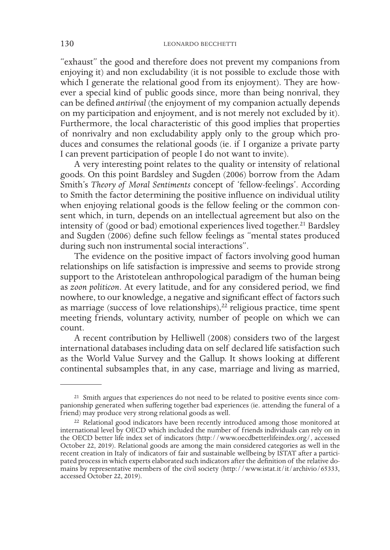"exhaust" the good and therefore does not prevent my companions from enjoying it) and non excludability (it is not possible to exclude those with which I generate the relational good from its enjoyment). They are however a special kind of public goods since, more than being nonrival, they can be defined *antirival* (the enjoyment of my companion actually depends on my participation and enjoyment, and is not merely not excluded by it). Furthermore, the local characteristic of this good implies that properties of nonrivalry and non excludability apply only to the group which produces and consumes the relational goods (ie. if I organize a private party I can prevent participation of people I do not want to invite).

A very interesting point relates to the quality or intensity of relational goods. On this point Bardsley and Sugden (2006) borrow from the Adam Smith's *Theory of Moral Sentiments* concept of 'fellow-feelings'. According to Smith the factor determining the positive influence on individual utility when enjoying relational goods is the fellow feeling or the common consent which, in turn, depends on an intellectual agreement but also on the intensity of (good or bad) emotional experiences lived together.<sup>21</sup> Bardsley and Sugden (2006) define such fellow feelings as "mental states produced during such non instrumental social interactions".

The evidence on the positive impact of factors involving good human relationships on life satisfaction is impressive and seems to provide strong support to the Aristotelean anthropological paradigm of the human being as *zoon politicon*. At every latitude, and for any considered period, we find nowhere, to our knowledge, a negative and significant effect of factors such as marriage (success of love relationships), $22$  religious practice, time spent meeting friends, voluntary activity, number of people on which we can count.

A recent contribution by Helliwell (2008) considers two of the largest international databases including data on self declared life satisfaction such as the World Value Survey and the Gallup. It shows looking at different continental subsamples that, in any case, marriage and living as married,

<sup>&</sup>lt;sup>21</sup> Smith argues that experiences do not need to be related to positive events since com-<br>panionship generated when suffering together bad experiences (ie. attending the funeral of a friend) may produce very strong relational goods as well.

<sup>&</sup>lt;sup>22</sup> Relational good indicators have been recently introduced among those monitored at international level by OECD which included the number of friends individuals can rely on in the OECD better life index set of indicators (http://www.oecdbetterlifeindex.org/, accessed October 22, 2019). Relational goods are among the main considered categories as well in the recent creation in Italy of indicators of fair and sustainable wellbeing by ISTAT after a participated process in which experts elaborated such indicators after the definition of the relative domains by representative members of the civil society (http://www.istat.it/it/archivio/65333, accessed October 22, 2019).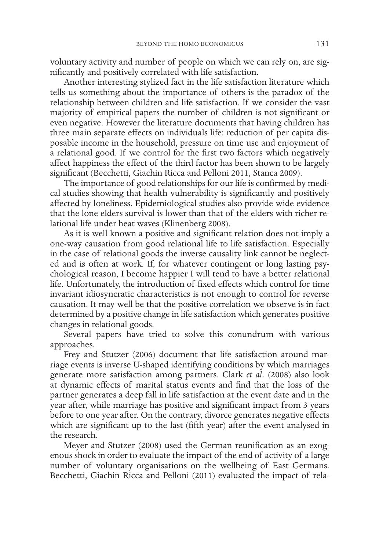voluntary activity and number of people on which we can rely on, are significantly and positively correlated with life satisfaction.

Another interesting stylized fact in the life satisfaction literature which tells us something about the importance of others is the paradox of the relationship between children and life satisfaction. If we consider the vast majority of empirical papers the number of children is not significant or even negative. However the literature documents that having children has three main separate effects on individuals life: reduction of per capita disposable income in the household, pressure on time use and enjoyment of a relational good. If we control for the first two factors which negatively affect happiness the effect of the third factor has been shown to be largely significant (Becchetti, Giachin Ricca and Pelloni 2011, Stanca 2009).

The importance of good relationships for our life is confirmed by medical studies showing that health vulnerability is significantly and positively affected by loneliness. Epidemiological studies also provide wide evidence that the lone elders survival is lower than that of the elders with richer relational life under heat waves (Klinenberg 2008).

As it is well known a positive and significant relation does not imply a one-way causation from good relational life to life satisfaction. Especially in the case of relational goods the inverse causality link cannot be neglected and is often at work. If, for whatever contingent or long lasting psychological reason, I become happier I will tend to have a better relational life. Unfortunately, the introduction of fixed effects which control for time invariant idiosyncratic characteristics is not enough to control for reverse causation. It may well be that the positive correlation we observe is in fact determined by a positive change in life satisfaction which generates positive changes in relational goods.

Several papers have tried to solve this conundrum with various approaches.

Frey and Stutzer (2006) document that life satisfaction around marriage events is inverse U-shaped identifying conditions by which marriages generate more satisfaction among partners. Clark *et al.* (2008) also look at dynamic effects of marital status events and find that the loss of the partner generates a deep fall in life satisfaction at the event date and in the year after, while marriage has positive and significant impact from 3 years before to one year after. On the contrary, divorce generates negative effects which are significant up to the last (fifth year) after the event analysed in the research.

Meyer and Stutzer (2008) used the German reunification as an exogenous shock in order to evaluate the impact of the end of activity of a large number of voluntary organisations on the wellbeing of East Germans. Becchetti, Giachin Ricca and Pelloni (2011) evaluated the impact of rela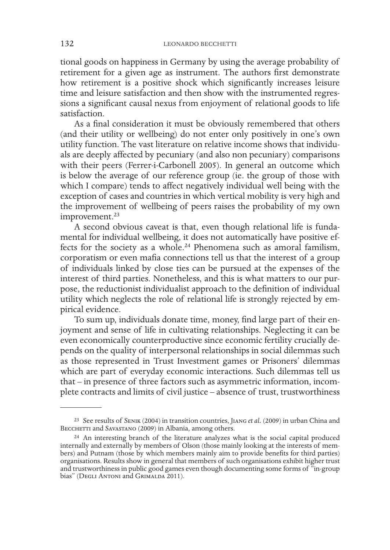tional goods on happiness in Germany by using the average probability of retirement for a given age as instrument. The authors first demonstrate how retirement is a positive shock which significantly increases leisure time and leisure satisfaction and then show with the instrumented regressions a significant causal nexus from enjoyment of relational goods to life satisfaction.

As a final consideration it must be obviously remembered that others (and their utility or wellbeing) do not enter only positively in one's own utility function. The vast literature on relative income shows that individuals are deeply affected by pecuniary (and also non pecuniary) comparisons with their peers (Ferrer-i-Carbonell 2005). In general an outcome which is below the average of our reference group (ie. the group of those with which I compare) tends to affect negatively individual well being with the exception of cases and countries in which vertical mobility is very high and the improvement of wellbeing of peers raises the probability of my own improvement.<sup>23</sup>

A second obvious caveat is that, even though relational life is fundamental for individual wellbeing, it does not automatically have positive effects for the society as a whole.24 Phenomena such as amoral familism, corporatism or even mafia connections tell us that the interest of a group of individuals linked by close ties can be pursued at the expenses of the interest of third parties. Nonetheless, and this is what matters to our purpose, the reductionist individualist approach to the definition of individual utility which neglects the role of relational life is strongly rejected by empirical evidence.

To sum up, individuals donate time, money, find large part of their enjoyment and sense of life in cultivating relationships. Neglecting it can be even economically counterproductive since economic fertility crucially depends on the quality of interpersonal relationships in social dilemmas such as those represented in Trust Investment games or Prisoners' dilemmas which are part of everyday economic interactions. Such dilemmas tell us that – in presence of three factors such as asymmetric information, incomplete contracts and limits of civil justice – absence of trust, trustworthiness

<sup>23</sup> See results of Senik (2004) in transition countries, Jiang *et al.* (2009) in urban China and BECCHETTI and SAVASTANO (2009) in Albania, among others.

<sup>24</sup> An interesting branch of the literature analyzes what is the social capital produced internally and externally by members of Olson (those mainly looking at the interests of members) and Putnam (those by which members mainly aim to provide benefits for third parties) organisations. Results show in general that members of such organisations exhibit higher trust and trustworthiness in public good games even though documenting some forms of "in-group bias" (DEGLI ANTONI and GRIMALDA 2011).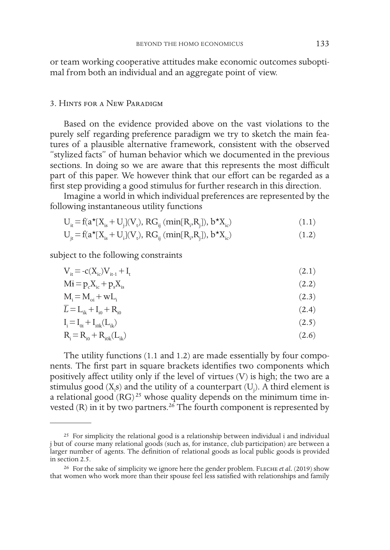or team working cooperative attitudes make economic outcomes suboptimal from both an individual and an aggregate point of view.

### 3. Hints for a New Paradigm

Based on the evidence provided above on the vast violations to the purely self regarding preference paradigm we try to sketch the main features of a plausible alternative framework, consistent with the observed "stylized facts" of human behavior which we documented in the previous sections. In doing so we are aware that this represents the most difficult part of this paper. We however think that our effort can be regarded as a first step providing a good stimulus for further research in this direction.

Imagine a world in which individual preferences are represented by the following instantaneous utility functions

$$
U_{it} = f(a^{\star}[X_{is} + U_{j}](V_{t}), RG_{ij} (min[R_{i}, R_{j}]), b^{\star}X_{ic})
$$
\n(1.1)

$$
U_{jt} = f(a^{\star}[X_{is} + U_{i}](V_{t}), RG_{ij}(min[R_{i}, R_{j}]), b^{\star}X_{ic})
$$
\n(1.2)

subject to the following constraints

| $V_{it} = -c(X_{ic})V_{it-1} + I_{it}$    | (2.1) |
|-------------------------------------------|-------|
| $M_i = p_c X_{ic} + p_s X_{is}$           | (2.2) |
| $M_i = M_{oi} + wL_i$                     | (2.3) |
| $\overline{L} = L_{ik} + I_{i0} + R_{i0}$ | (2.4) |
| $I_i = I_{0i} + I_{i0k}(L_{ik})$          | (2.5) |
| $R_i = R_{io} + R_{i0k}(L_{ik})$          | (2.6) |

The utility functions (1.1 and 1.2) are made essentially by four components. The first part in square brackets identifies two components which positively affect utility only if the level of virtues (V) is high; the two are a stimulus good  $(X_i s)$  and the utility of a counterpart  $(U_j)$ . A third element is a relational good  $(RG)^{25}$  whose quality depends on the minimum time invested (R) in it by two partners.<sup>26</sup> The fourth component is represented by

<sup>&</sup>lt;sup>25</sup> For simplicity the relational good is a relationship between individual i and individual j but of course many relational goods (such as, for instance, club participation) are between a larger number of agents. The definition of relational goods as local public goods is provided in section 2.5.

<sup>26</sup> For the sake of simplicity we ignore here the gender problem. Fleche *et al.* (2019) show that women who work more than their spouse feel less satisfied with relationships and family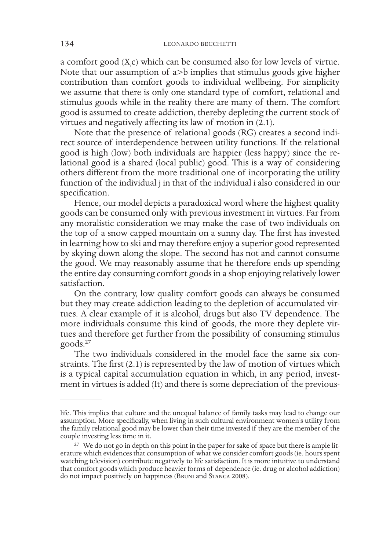a comfort good  $(X_i c)$  which can be consumed also for low levels of virtue. Note that our assumption of a>b implies that stimulus goods give higher contribution than comfort goods to individual wellbeing. For simplicity we assume that there is only one standard type of comfort, relational and stimulus goods while in the reality there are many of them. The comfort good is assumed to create addiction, thereby depleting the current stock of virtues and negatively affecting its law of motion in (2.1).

Note that the presence of relational goods (RG) creates a second indirect source of interdependence between utility functions. If the relational good is high (low) both individuals are happier (less happy) since the relational good is a shared (local public) good. This is a way of considering others different from the more traditional one of incorporating the utility function of the individual j in that of the individual i also considered in our specification.

Hence, our model depicts a paradoxical word where the highest quality goods can be consumed only with previous investment in virtues. Far from any moralistic consideration we may make the case of two individuals on the top of a snow capped mountain on a sunny day. The first has invested in learning how to ski and may therefore enjoy a superior good represented by skying down along the slope. The second has not and cannot consume the good. We may reasonably assume that he therefore ends up spending the entire day consuming comfort goods in a shop enjoying relatively lower satisfaction.

On the contrary, low quality comfort goods can always be consumed but they may create addiction leading to the depletion of accumulated virtues. A clear example of it is alcohol, drugs but also TV dependence. The more individuals consume this kind of goods, the more they deplete virtues and therefore get further from the possibility of consuming stimulus goods.27

The two individuals considered in the model face the same six constraints. The first (2.1) is represented by the law of motion of virtues which is a typical capital accumulation equation in which, in any period, investment in virtues is added (It) and there is some depreciation of the previous-

life. This implies that culture and the unequal balance of family tasks may lead to change our assumption. More specifically, when living in such cultural environment women's utility from the family relational good may be lower than their time invested if they are the member of the couple investing less time in it.

<sup>&</sup>lt;sup>27</sup> We do not go in depth on this point in the paper for sake of space but there is ample literature which evidences that consumption of what we consider comfort goods (ie. hours spent watching television) contribute negatively to life satisfaction. It is more intuitive to understand that comfort goods which produce heavier forms of dependence (ie. drug or alcohol addiction) do not impact positively on happiness (Bruni and Stanca 2008).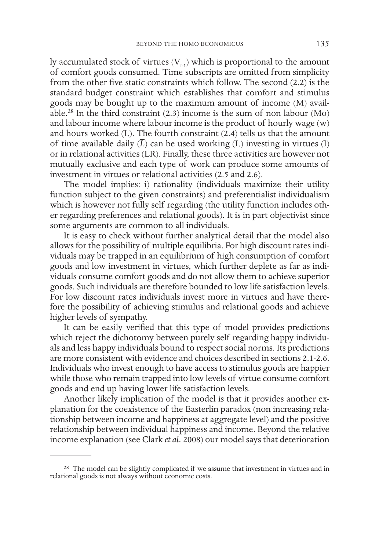ly accumulated stock of virtues  $(V_{t-1})$  which is proportional to the amount of comfort goods consumed. Time subscripts are omitted from simplicity from the other five static constraints which follow. The second (2.2) is the standard budget constraint which establishes that comfort and stimulus goods may be bought up to the maximum amount of income (M) available.<sup>28</sup> In the third constraint  $(2.3)$  income is the sum of non labour  $(Mo)$ and labour income where labour income is the product of hourly wage (w) and hours worked (L). The fourth constraint (2.4) tells us that the amount of time available daily  $(\overline{L})$  can be used working  $(L)$  investing in virtues  $(I)$ or in relational activities (LR). Finally, these three activities are however not mutually exclusive and each type of work can produce some amounts of investment in virtues or relational activities (2.5 and 2.6).

The model implies: i) rationality (individuals maximize their utility function subject to the given constraints) and preferentialist individualism which is however not fully self regarding (the utility function includes other regarding preferences and relational goods). It is in part objectivist since some arguments are common to all individuals.

It is easy to check without further analytical detail that the model also allows for the possibility of multiple equilibria. For high discount rates individuals may be trapped in an equilibrium of high consumption of comfort goods and low investment in virtues, which further deplete as far as individuals consume comfort goods and do not allow them to achieve superior goods. Such individuals are therefore bounded to low life satisfaction levels. For low discount rates individuals invest more in virtues and have therefore the possibility of achieving stimulus and relational goods and achieve higher levels of sympathy.

It can be easily verified that this type of model provides predictions which reject the dichotomy between purely self regarding happy individuals and less happy individuals bound to respect social norms. Its predictions are more consistent with evidence and choices described in sections 2.1-2.6. Individuals who invest enough to have access to stimulus goods are happier while those who remain trapped into low levels of virtue consume comfort goods and end up having lower life satisfaction levels.

Another likely implication of the model is that it provides another explanation for the coexistence of the Easterlin paradox (non increasing relationship between income and happiness at aggregate level) and the positive relationship between individual happiness and income. Beyond the relative income explanation (see Clark *et al.* 2008) our model says that deterioration

<sup>&</sup>lt;sup>28</sup> The model can be slightly complicated if we assume that investment in virtues and in relational goods is not always without economic costs.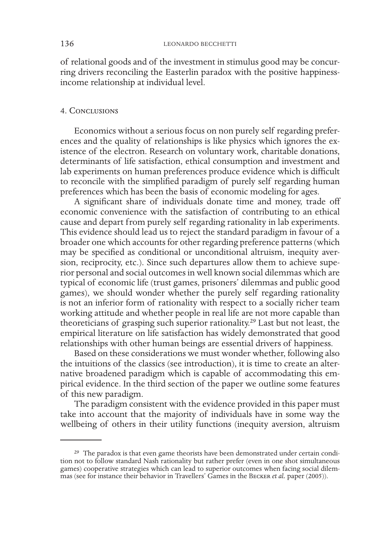of relational goods and of the investment in stimulus good may be concurring drivers reconciling the Easterlin paradox with the positive happinessincome relationship at individual level.

### 4. Conclusions

Economics without a serious focus on non purely self regarding preferences and the quality of relationships is like physics which ignores the existence of the electron. Research on voluntary work, charitable donations, determinants of life satisfaction, ethical consumption and investment and lab experiments on human preferences produce evidence which is difficult to reconcile with the simplified paradigm of purely self regarding human preferences which has been the basis of economic modeling for ages.

A significant share of individuals donate time and money, trade off economic convenience with the satisfaction of contributing to an ethical cause and depart from purely self regarding rationality in lab experiments. This evidence should lead us to reject the standard paradigm in favour of a broader one which accounts for other regarding preference patterns (which may be specified as conditional or unconditional altruism, inequity aversion, reciprocity, etc.). Since such departures allow them to achieve superior personal and social outcomes in well known social dilemmas which are typical of economic life (trust games, prisoners' dilemmas and public good games), we should wonder whether the purely self regarding rationality is not an inferior form of rationality with respect to a socially richer team working attitude and whether people in real life are not more capable than theoreticians of grasping such superior rationality.29 Last but not least, the empirical literature on life satisfaction has widely demonstrated that good relationships with other human beings are essential drivers of happiness.

Based on these considerations we must wonder whether, following also the intuitions of the classics (see introduction), it is time to create an alternative broadened paradigm which is capable of accommodating this empirical evidence. In the third section of the paper we outline some features of this new paradigm.

The paradigm consistent with the evidence provided in this paper must take into account that the majority of individuals have in some way the wellbeing of others in their utility functions (inequity aversion, altruism

<sup>&</sup>lt;sup>29</sup> The paradox is that even game theorists have been demonstrated under certain condition not to follow standard Nash rationality but rather prefer (even in one shot simultaneous games) cooperative strategies which can lead to superior outcomes when facing social dilemmas (see for instance their behavior in Travellers' Games in the Becker *et al.* paper (2005)).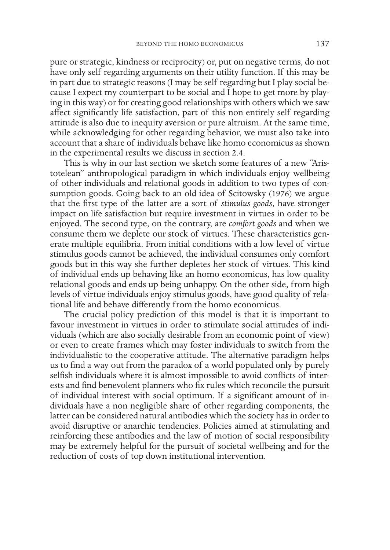pure or strategic, kindness or reciprocity) or, put on negative terms, do not have only self regarding arguments on their utility function. If this may be in part due to strategic reasons (I may be self regarding but I play social because I expect my counterpart to be social and I hope to get more by playing in this way) or for creating good relationships with others which we saw affect significantly life satisfaction, part of this non entirely self regarding attitude is also due to inequity aversion or pure altruism. At the same time, while acknowledging for other regarding behavior, we must also take into account that a share of individuals behave like homo economicus as shown in the experimental results we discuss in section 2.4.

This is why in our last section we sketch some features of a new "Aristotelean" anthropological paradigm in which individuals enjoy wellbeing of other individuals and relational goods in addition to two types of consumption goods. Going back to an old idea of Scitowsky (1976) we argue that the first type of the latter are a sort of *stimulus goods*, have stronger impact on life satisfaction but require investment in virtues in order to be enjoyed. The second type, on the contrary, are *comfort goods* and when we consume them we deplete our stock of virtues. These characteristics generate multiple equilibria. From initial conditions with a low level of virtue stimulus goods cannot be achieved, the individual consumes only comfort goods but in this way she further depletes her stock of virtues. This kind of individual ends up behaving like an homo economicus, has low quality relational goods and ends up being unhappy. On the other side, from high levels of virtue individuals enjoy stimulus goods, have good quality of relational life and behave differently from the homo economicus.

The crucial policy prediction of this model is that it is important to favour investment in virtues in order to stimulate social attitudes of individuals (which are also socially desirable from an economic point of view) or even to create frames which may foster individuals to switch from the individualistic to the cooperative attitude. The alternative paradigm helps us to find a way out from the paradox of a world populated only by purely selfish individuals where it is almost impossible to avoid conflicts of interests and find benevolent planners who fix rules which reconcile the pursuit of individual interest with social optimum. If a significant amount of individuals have a non negligible share of other regarding components, the latter can be considered natural antibodies which the society has in order to avoid disruptive or anarchic tendencies. Policies aimed at stimulating and reinforcing these antibodies and the law of motion of social responsibility may be extremely helpful for the pursuit of societal wellbeing and for the reduction of costs of top down institutional intervention.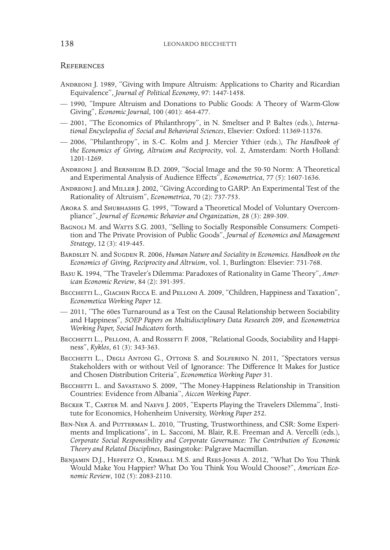### **REFERENCES**

- Andreoni J. 1989, "Giving with Impure Altruism: Applications to Charity and Ricardian Equivalence", *Journal of Political Economy*, 97: 1447-1458.
- 1990, "Impure Altruism and Donations to Public Goods: A Theory of Warm-Glow Giving", *Economic Journal*, 100 (401): 464-477.
- 2001, "The Economics of Philanthropy", in N. Smeltser and P. Baltes (eds.), *International Encyclopedia of Social and Behavioral Sciences*, Elsevier: Oxford: 11369-11376.
- 2006, "Philanthropy", in S.-C. Kolm and J. Mercier Ythier (eds.), *The Handbook of the Economics of Giving, Altruism and Reciprocity*, vol. 2, Amsterdam: North Holland: 1201-1269.
- Andreoni J. and Bernheim B.D. 2009, "Social Image and the 50-50 Norm: A Theoretical and Experimental Analysis of Audience Effects", *Econometrica*, 77 (5): 1607-1636.
- Andreoni J. and Miller J. 2002, "Giving According to GARP: An Experimental Test of the Rationality of Altruism", *Econometrica*, 70 (2): 737-753.
- Arora S. and Shubhashis G. 1995, "Toward a Theoretical Model of Voluntary Overcompliance", *Journal of Economic Behavior and Organization*, 28 (3): 289-309.
- BAGNOLI M. and WATTS S.G. 2003, "Selling to Socially Responsible Consumers: Competition and The Private Provision of Public Goods", *Journal of Economics and Management Strategy*, 12 (3): 419-445.
- BARDSLEY N. and SUGDEN R. 2006, *Human Nature and Sociality in Economics. Handbook on the Economics of Giving, Reciprocity and Altruism*, vol. 1, Burlington: Elsevier: 731-768.
- Basu K. 1994, "The Traveler's Dilemma: Paradoxes of Rationality in Game Theory", *American Economic Review*, 84 (2): 391-395.
- BECCHETTI L., GIACHIN RICCA E. and PELLONI A. 2009, "Children, Happiness and Taxation", *Econometica Working Paper* 12.
- 2011, "The 60es Turnaround as a Test on the Causal Relationship between Sociability and Happiness", *SOEP Papers on Multidisciplinary Data Research* 209, and *Econometrica Working Paper, Social Indicators* forth.
- BECCHETTI L., PELLONI, A. and ROSSETTI F. 2008, "Relational Goods, Sociability and Happiness", *Kyklos*, 61 (3): 343-363.
- BECCHETTI L., DEGLI ANTONI G., OTTONE S. and SOLFERINO N. 2011, "Spectators versus Stakeholders with or without Veil of Ignorance: The Difference It Makes for Justice and Chosen Distribution Criteria", *Econometica Working Paper* 31.
- BECCHETTI L. and SAVASTANO S. 2009, "The Money-Happiness Relationship in Transition Countries: Evidence from Albania", *Aiccon Working Paper*.
- BECKER T., CARTER M. and NAEVE J. 2005, "Experts Playing the Travelers Dilemma", Institute for Economics, Hohenheim University, *Working Paper* 252.
- BEN-NER A. and PUTTERMAN L. 2010, "Trusting, Trustworthiness, and CSR: Some Experiments and Implications", in L. Sacconi, M. Blair, R.E. Freeman and A. Vercelli (eds.), *Corporate Social Responsibility and Corporate Governance: The Contribution of Economic Theory and Related Disciplines*, Basingstoke: Palgrave Macmillan.
- Benjamin D.J., Heffetz O., Kimball M.S. and Rees-Jones A. 2012, "What Do You Think Would Make You Happier? What Do You Think You Would Choose?", *American Economic Review*, 102 (5): 2083-2110.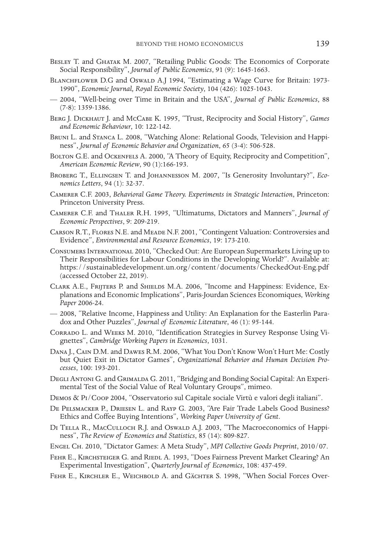- Besley T. and Ghatak M. 2007, "Retailing Public Goods: The Economics of Corporate Social Responsibility", *Journal of Public Economics*, 91 (9): 1645-1663.
- BLANCHFLOWER D.G and Oswald A.J 1994, "Estimating a Wage Curve for Britain: 1973-1990", *Economic Journal, Royal Economic Society*, 104 (426): 1025-1043.
- 2004, "Well-being over Time in Britain and the USA", *Journal of Public Economics*, 88 (7-8): 1359-1386.
- BERG J. DICKHAUT J. and McCABE K. 1995, "Trust, Reciprocity and Social History", *Games and Economic Behaviour*, 10: 122-142.
- Bruni L. and Stanca L. 2008, "Watching Alone: Relational Goods, Television and Happiness", *Journal of Economic Behavior and Organization*, 65 (3-4): 506-528.
- BOLTON G.E. and OCKENFELS A. 2000, "A Theory of Equity, Reciprocity and Competition", *American Economic Review*, 90 (1):166-193.
- Broberg T., Ellingsen T. and Johannesson M. 2007, "Is Generosity Involuntary?", *Economics Letters*, 94 (1): 32-37.
- Camerer C.F. 2003, *Behavioral Game Theory. Experiments in Strategic Interaction*, Princeton: Princeton University Press.
- Camerer C.F. and Thaler R.H. 1995, "Ultimatums, Dictators and Manners", *Journal of Economic Perspectives*, 9: 209-219.
- Carson R.T., Flores N.E. and Meade N.F. 2001, "Contingent Valuation: Controversies and Evidence", *Environmental and Resource Economics*, 19: 173-210.
- Consumers International 2010, "Checked Out: Are European Supermarkets Living up to Their Responsibilities for Labour Conditions in the Developing World?". Available at: https://sustainabledevelopment.un.org/content/documents/CheckedOut-Eng.pdf (accessed October 22, 2019).
- Clark A.E., Frijters P. and Shields M.A. 2006, "Income and Happiness: Evidence, Explanations and Economic Implications", Paris-Jourdan Sciences Economiques, *Working Paper* 2006-24.
- 2008, "Relative Income, Happiness and Utility: An Explanation for the Easterlin Paradox and Other Puzzles", *Journal of Economic Literature*, 46 (1): 95-144.
- Corrado L. and Weeks M. 2010, "Identification Strategies in Survey Response Using Vignettes", *Cambridge Working Papers in Economics*, 1031.
- Dana J., Cain D.M. and Dawes R.M. 2006, "What You Don't Know Won't Hurt Me: Costly but Quiet Exit in Dictator Games", *Organizational Behavior and Human Decision Processes*, 100: 193-201.
- DEGLI ANTONI G. and GRIMALDA G. 2011, "Bridging and Bonding Social Capital: An Experimental Test of the Social Value of Real Voluntary Groups", mimeo.
- Demos & Pi/Coop 2004, "Osservatorio sul Capitale sociale Virtù e valori degli italiani".
- De Pelsmacker P., Driesen L. and Rayp G. 2003, "Are Fair Trade Labels Good Business? Ethics and Coffee Buying Intentions", *Working Paper University of Gent*.
- DI TELLA R., MACCULLOCH R.J. and Oswald A.J. 2003, "The Macroeconomics of Happiness", *The Review of Economics and Statistics*, 85 (14): 809-827.
- Engel Ch. 2010, "Dictator Games: A Meta Study", *MPI Collective Goods Preprint*, 2010/07.
- FEHR E., KIRCHSTEIGER G. and RIEDL A. 1993, "Does Fairness Prevent Market Clearing? An Experimental Investigation", *Quarterly Journal of Economics*, 108: 437-459.
- FEHR E., KIRCHLER E., WEICHBOLD A. and GÄCHTER S. 1998, "When Social Forces Over-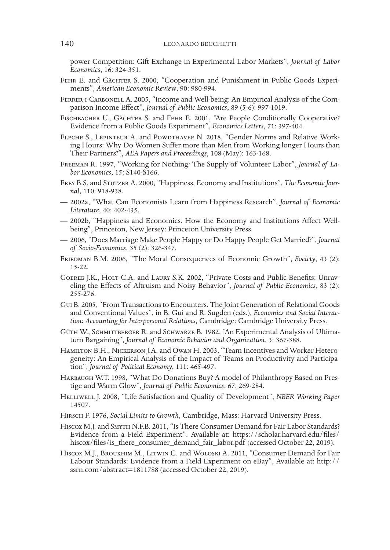power Competition: Gift Exchange in Experimental Labor Markets", *Journal of Labor Economics*, 16: 324-351.

- FEHR E. and GÄCHTER S. 2000, "Cooperation and Punishment in Public Goods Experiments", *American Economic Review*, 90: 980-994.
- Ferrer-i-Carbonell A. 2005, "Income and Well-being: An Empirical Analysis of the Comparison Income Effect", *Journal of Public Economics*, 89 (5-6): 997-1019.
- FISCHBACHER U., GÄCHTER S. and FEHR E. 2001, "Are People Conditionally Cooperative? Evidence from a Public Goods Experiment", *Economics Letters*, 71: 397-404.
- FLECHE S., LEPINTEUR A. and POWDTHAVEE N. 2018, "Gender Norms and Relative Work- ing Hours: Why Do Women Suffer more than Men from Working longer Hours than Their Partners?", *AEA Papers and Proceedings*, 108 (May): 163-168.
- Freeman R. 1997, "Working for Nothing*:* The Supply of Volunteer Labor", *Journal of La- bor Economics*, 15: S140-S166.
- Frey B.S. and Stutzer A. 2000, "Happiness, Economy and Institutions", *The Economic Journal*, 110: 918-938.
- 2002a, "What Can Economists Learn from Happiness Research", *Journal of Economic Literature*, 40: 402-435.
- 2002b, "Happiness and Economics. How the Economy and Institutions Affect Wellbeing", Princeton, New Jersey: Princeton University Press.
- 2006, "Does Marriage Make People Happy or Do Happy People Get Married?", *Journal of Socio-Economics*, 35 (2): 326-347.
- Friedman B.M. 2006, "The Moral Consequences of Economic Growth", *Society*, 43 (2): 15-22.
- Goeree J.K., Holt C.A. and Laury S.K. 2002, "Private Costs and Public Benefits: Unrav- eling the Effects of Altruism and Noisy Behavior", *Journal of Public Economics*, 83 (2): 255-276.
- Gui B. 2005, "From Transactions to Encounters. The Joint Generation of Relational Goods and Conventional Values", in B. Gui and R. Sugden (eds.), *Economics and Social Interaction: Accounting for Interpersonal Relations*, Cambridge: Cambridge University Press.
- Güth W., Schmittberger R. and Schwarze B. 1982, "An Experimental Analysis of Ultima- tum Bargaining", *Journal of Economic Behavior and Organization*, 3: 367-388.
- HAMILTON B.H., NICKERSON J.A. and OWAN H. 2003, "Team Incentives and Worker Heterogeneity: An Empirical Analysis of the Impact of Teams on Productivity and Participation", Journal of Political Economy, 111: 465-497.
- Harbaugh W.T. 1998, "What Do Donations Buy? A model of Philanthropy Based on Pres- tige and Warm Glow", *Journal of Public Economics*, 67: 269-284.
- Helliwell J. 2008, "Life Satisfaction and Quality of Development", *NBER Working Paper* 14507.
- Hirsch F. 1976, *Social Limits to Growth*, Cambridge, Mass: Harvard University Press.
- Hiscox M.J. and Smyth N.F.B. 2011, "Is There Consumer Demand for Fair Labor Standards? Evidence from a Field Experiment". Available at: https://scholar.harvard.edu/files/ hiscox/files/is\_there\_consumer\_demand\_fair\_labor.pdf (accessed October 22, 2019).
- Hiscox M.J., Broukhim M., Litwin C. and Woloski A. 2011, "Consumer Demand for Fair Labour Standards: Evidence from a Field Experiment on eBay", Available at: http:// ssrn.com/abstract=1811788 (accessed October 22, 2019).